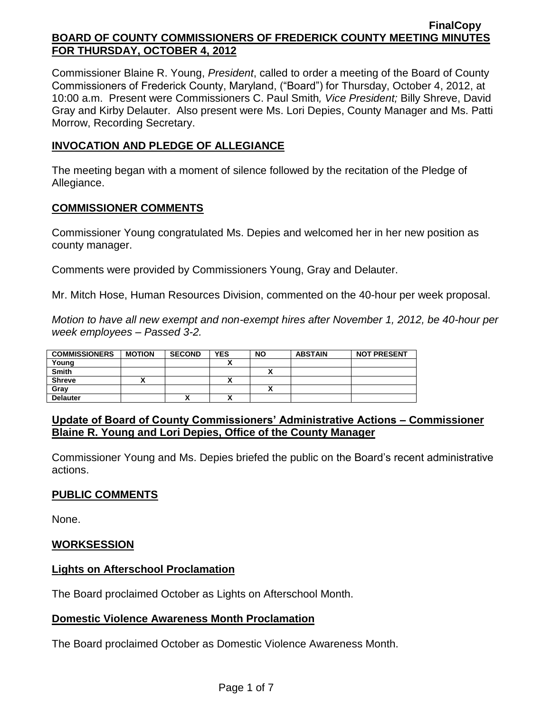Commissioner Blaine R. Young, *President*, called to order a meeting of the Board of County Commissioners of Frederick County, Maryland, ("Board") for Thursday, October 4, 2012, at 10:00 a.m. Present were Commissioners C. Paul Smith*, Vice President;* Billy Shreve, David Gray and Kirby Delauter. Also present were Ms. Lori Depies, County Manager and Ms. Patti Morrow, Recording Secretary.

## **INVOCATION AND PLEDGE OF ALLEGIANCE**

The meeting began with a moment of silence followed by the recitation of the Pledge of Allegiance.

## **COMMISSIONER COMMENTS**

Commissioner Young congratulated Ms. Depies and welcomed her in her new position as county manager.

Comments were provided by Commissioners Young, Gray and Delauter.

Mr. Mitch Hose, Human Resources Division, commented on the 40-hour per week proposal.

*Motion to have all new exempt and non-exempt hires after November 1, 2012, be 40-hour per week employees – Passed 3-2.*

| <b>COMMISSIONERS</b> | <b>MOTION</b> | <b>SECOND</b> | <b>YES</b>   | <b>NO</b> | <b>ABSTAIN</b> | <b>NOT PRESENT</b> |
|----------------------|---------------|---------------|--------------|-----------|----------------|--------------------|
| Young                |               |               |              |           |                |                    |
| <b>Smith</b>         |               |               |              |           |                |                    |
| <b>Shreve</b>        |               |               | $\mathbf{v}$ |           |                |                    |
| Grav                 |               |               |              |           |                |                    |
| <b>Delauter</b>      |               | "             | $\mathbf{v}$ |           |                |                    |

## **Update of Board of County Commissioners' Administrative Actions – Commissioner Blaine R. Young and Lori Depies, Office of the County Manager**

Commissioner Young and Ms. Depies briefed the public on the Board's recent administrative actions.

# **PUBLIC COMMENTS**

None.

## **WORKSESSION**

## **Lights on Afterschool Proclamation**

The Board proclaimed October as Lights on Afterschool Month.

## **Domestic Violence Awareness Month Proclamation**

The Board proclaimed October as Domestic Violence Awareness Month.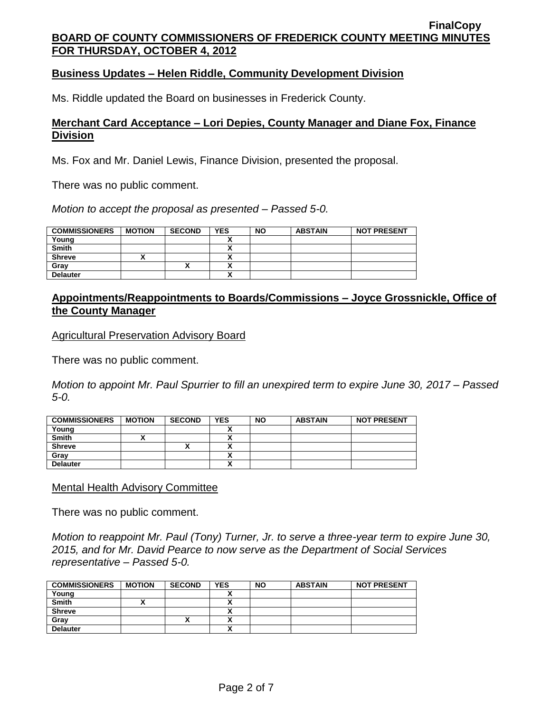### **Business Updates – Helen Riddle, Community Development Division**

Ms. Riddle updated the Board on businesses in Frederick County.

### **Merchant Card Acceptance – Lori Depies, County Manager and Diane Fox, Finance Division**

Ms. Fox and Mr. Daniel Lewis, Finance Division, presented the proposal.

There was no public comment.

*Motion to accept the proposal as presented – Passed 5-0.*

| <b>COMMISSIONERS</b> | <b>MOTION</b> | <b>SECOND</b> | <b>YES</b> | <b>NO</b> | <b>ABSTAIN</b> | <b>NOT PRESENT</b> |
|----------------------|---------------|---------------|------------|-----------|----------------|--------------------|
| Young                |               |               |            |           |                |                    |
| <b>Smith</b>         |               |               |            |           |                |                    |
| <b>Shreve</b>        |               |               | ,,         |           |                |                    |
| Grav                 |               |               | ,,         |           |                |                    |
| <b>Delauter</b>      |               |               | ~          |           |                |                    |

### **Appointments/Reappointments to Boards/Commissions – Joyce Grossnickle, Office of the County Manager**

Agricultural Preservation Advisory Board

There was no public comment.

*Motion to appoint Mr. Paul Spurrier to fill an unexpired term to expire June 30, 2017 – Passed 5-0.*

| <b>COMMISSIONERS</b> | <b>MOTION</b> | <b>SECOND</b> | <b>YES</b>               | <b>NO</b> | <b>ABSTAIN</b> | <b>NOT PRESENT</b> |
|----------------------|---------------|---------------|--------------------------|-----------|----------------|--------------------|
| Young                |               |               |                          |           |                |                    |
| <b>Smith</b>         |               |               |                          |           |                |                    |
| <b>Shreve</b>        |               | $\mathbf{v}$  | $\overline{\phantom{a}}$ |           |                |                    |
| Gray                 |               |               |                          |           |                |                    |
| <b>Delauter</b>      |               |               | v<br>^                   |           |                |                    |

Mental Health Advisory Committee

There was no public comment.

*Motion to reappoint Mr. Paul (Tony) Turner, Jr. to serve a three-year term to expire June 30, 2015, and for Mr. David Pearce to now serve as the Department of Social Services representative – Passed 5-0.*

| <b>COMMISSIONERS</b> | <b>MOTION</b> | <b>SECOND</b> | YES                                  | <b>NO</b> | <b>ABSTAIN</b> | <b>NOT PRESENT</b> |
|----------------------|---------------|---------------|--------------------------------------|-----------|----------------|--------------------|
| Young                |               |               |                                      |           |                |                    |
| <b>Smith</b>         |               |               | ^                                    |           |                |                    |
| <b>Shreve</b>        |               |               | ^                                    |           |                |                    |
| Grav                 |               | "             | $\ddot{\phantom{0}}$<br>~            |           |                |                    |
| <b>Delauter</b>      |               |               | $\ddot{\phantom{0}}$<br>$\mathbf{v}$ |           |                |                    |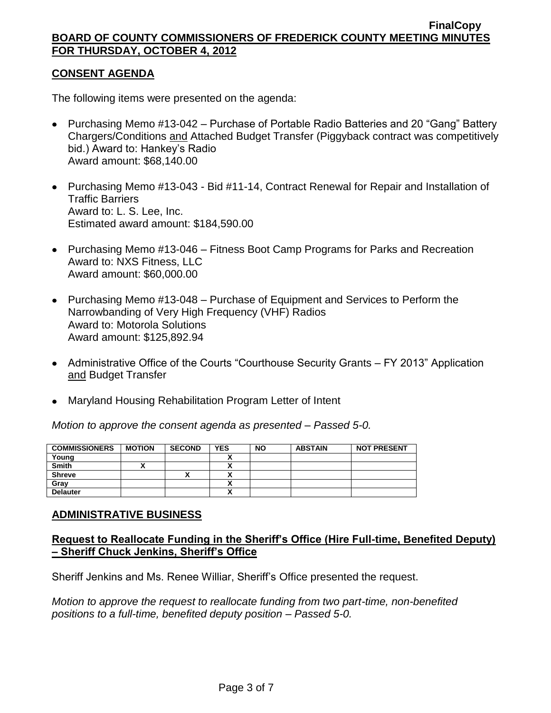## **CONSENT AGENDA**

The following items were presented on the agenda:

- Purchasing Memo #13-042 Purchase of Portable Radio Batteries and 20 "Gang" Battery Chargers/Conditions and Attached Budget Transfer (Piggyback contract was competitively bid.) Award to: Hankey's Radio Award amount: \$68,140.00
- Purchasing Memo #13-043 Bid #11-14, Contract Renewal for Repair and Installation of Traffic Barriers Award to: L. S. Lee, Inc. Estimated award amount: \$184,590.00
- Purchasing Memo #13-046 Fitness Boot Camp Programs for Parks and Recreation Award to: NXS Fitness, LLC Award amount: \$60,000.00
- Purchasing Memo #13-048 Purchase of Equipment and Services to Perform the Narrowbanding of Very High Frequency (VHF) Radios Award to: Motorola Solutions Award amount: \$125,892.94
- Administrative Office of the Courts "Courthouse Security Grants FY 2013" Application and Budget Transfer
- Maryland Housing Rehabilitation Program Letter of Intent

*Motion to approve the consent agenda as presented – Passed 5-0.*

| <b>COMMISSIONERS</b> | <b>MOTION</b> | <b>SECOND</b> | <b>YES</b> | <b>NO</b> | <b>ABSTAIN</b> | <b>NOT PRESENT</b> |
|----------------------|---------------|---------------|------------|-----------|----------------|--------------------|
| Young                |               |               |            |           |                |                    |
| <b>Smith</b>         |               |               | ,,         |           |                |                    |
| <b>Shreve</b>        |               |               |            |           |                |                    |
| Gray                 |               |               | ^          |           |                |                    |
| <b>Delauter</b>      |               |               | Λ          |           |                |                    |

#### **ADMINISTRATIVE BUSINESS**

## **Request to Reallocate Funding in the Sheriff's Office (Hire Full-time, Benefited Deputy) – Sheriff Chuck Jenkins, Sheriff's Office**

Sheriff Jenkins and Ms. Renee Williar, Sheriff's Office presented the request.

*Motion to approve the request to reallocate funding from two part-time, non-benefited positions to a full-time, benefited deputy position – Passed 5-0.*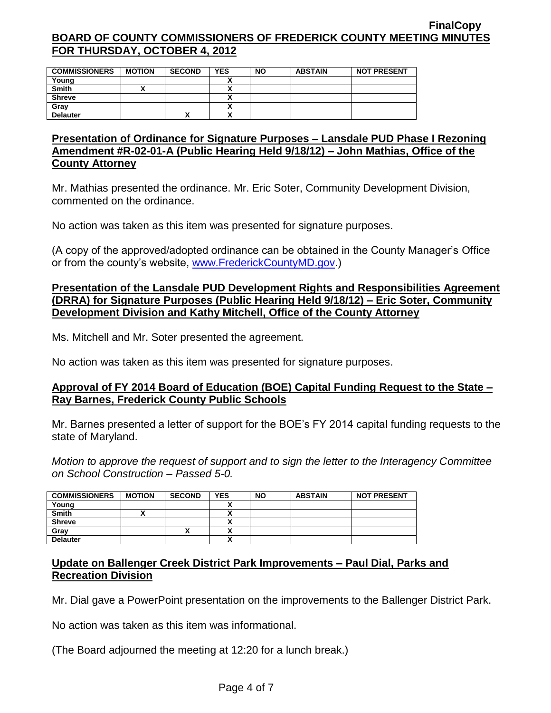| <b>COMMISSIONERS</b> | <b>MOTION</b> | <b>SECOND</b> | <b>YES</b> | <b>NO</b> | <b>ABSTAIN</b> | <b>NOT PRESENT</b> |
|----------------------|---------------|---------------|------------|-----------|----------------|--------------------|
| Young                |               |               |            |           |                |                    |
| <b>Smith</b>         |               |               |            |           |                |                    |
| <b>Shreve</b>        |               |               |            |           |                |                    |
| Gray                 |               |               |            |           |                |                    |
| <b>Delauter</b>      |               | Λ             | ^          |           |                |                    |

## **Presentation of Ordinance for Signature Purposes – Lansdale PUD Phase I Rezoning Amendment #R-02-01-A (Public Hearing Held 9/18/12) – John Mathias, Office of the County Attorney**

Mr. Mathias presented the ordinance. Mr. Eric Soter, Community Development Division, commented on the ordinance.

No action was taken as this item was presented for signature purposes.

(A copy of the approved/adopted ordinance can be obtained in the County Manager's Office or from the county's website, [www.FrederickCountyMD.gov.](http://www.frederickcountymd.gov/))

## **Presentation of the Lansdale PUD Development Rights and Responsibilities Agreement (DRRA) for Signature Purposes (Public Hearing Held 9/18/12) – Eric Soter, Community Development Division and Kathy Mitchell, Office of the County Attorney**

Ms. Mitchell and Mr. Soter presented the agreement.

No action was taken as this item was presented for signature purposes.

## **Approval of FY 2014 Board of Education (BOE) Capital Funding Request to the State – Ray Barnes, Frederick County Public Schools**

Mr. Barnes presented a letter of support for the BOE's FY 2014 capital funding requests to the state of Maryland.

*Motion to approve the request of support and to sign the letter to the Interagency Committee on School Construction – Passed 5-0.*

| <b>COMMISSIONERS</b> | <b>MOTION</b> | <b>SECOND</b> | <b>YES</b> | <b>NO</b> | <b>ABSTAIN</b> | <b>NOT PRESENT</b> |
|----------------------|---------------|---------------|------------|-----------|----------------|--------------------|
| Young                |               |               |            |           |                |                    |
| <b>Smith</b>         |               |               |            |           |                |                    |
| <b>Shreve</b>        |               |               |            |           |                |                    |
| Grav                 |               |               |            |           |                |                    |
| <b>Delauter</b>      |               |               |            |           |                |                    |

## **Update on Ballenger Creek District Park Improvements – Paul Dial, Parks and Recreation Division**

Mr. Dial gave a PowerPoint presentation on the improvements to the Ballenger District Park.

No action was taken as this item was informational.

(The Board adjourned the meeting at 12:20 for a lunch break.)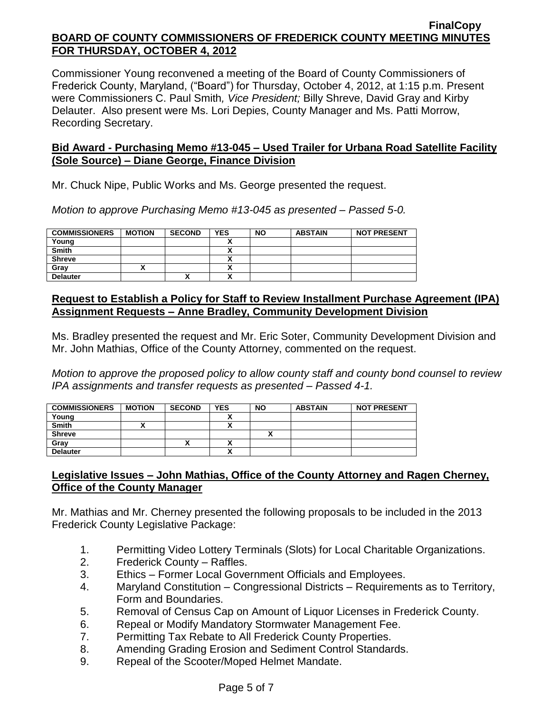Commissioner Young reconvened a meeting of the Board of County Commissioners of Frederick County, Maryland, ("Board") for Thursday, October 4, 2012, at 1:15 p.m. Present were Commissioners C. Paul Smith*, Vice President;* Billy Shreve, David Gray and Kirby Delauter. Also present were Ms. Lori Depies, County Manager and Ms. Patti Morrow, Recording Secretary.

## **Bid Award - Purchasing Memo #13-045 – Used Trailer for Urbana Road Satellite Facility (Sole Source) – Diane George, Finance Division**

Mr. Chuck Nipe, Public Works and Ms. George presented the request.

*Motion to approve Purchasing Memo #13-045 as presented – Passed 5-0.*

| <b>COMMISSIONERS</b> | <b>MOTION</b> | <b>SECOND</b> | <b>YES</b> | <b>NO</b> | <b>ABSTAIN</b> | <b>NOT PRESENT</b> |
|----------------------|---------------|---------------|------------|-----------|----------------|--------------------|
| Young                |               |               |            |           |                |                    |
| <b>Smith</b>         |               |               |            |           |                |                    |
| <b>Shreve</b>        |               |               |            |           |                |                    |
| Grav                 |               |               |            |           |                |                    |
| <b>Delauter</b>      |               | ↗             |            |           |                |                    |

## **Request to Establish a Policy for Staff to Review Installment Purchase Agreement (IPA) Assignment Requests – Anne Bradley, Community Development Division**

Ms. Bradley presented the request and Mr. Eric Soter, Community Development Division and Mr. John Mathias, Office of the County Attorney, commented on the request.

*Motion to approve the proposed policy to allow county staff and county bond counsel to review IPA assignments and transfer requests as presented – Passed 4-1.*

| <b>COMMISSIONERS</b> | <b>MOTION</b> | <b>SECOND</b> | <b>YES</b> | <b>NO</b> | <b>ABSTAIN</b> | <b>NOT PRESENT</b> |
|----------------------|---------------|---------------|------------|-----------|----------------|--------------------|
| Young                |               |               |            |           |                |                    |
| <b>Smith</b>         |               |               |            |           |                |                    |
| <b>Shreve</b>        |               |               |            |           |                |                    |
| Gray                 |               | ́             |            |           |                |                    |
| <b>Delauter</b>      |               |               | Δ          |           |                |                    |

## **Legislative Issues – John Mathias, Office of the County Attorney and Ragen Cherney, Office of the County Manager**

Mr. Mathias and Mr. Cherney presented the following proposals to be included in the 2013 Frederick County Legislative Package:

- 1. Permitting Video Lottery Terminals (Slots) for Local Charitable Organizations.
- 2. Frederick County Raffles.
- 3. Ethics Former Local Government Officials and Employees.
- 4. Maryland Constitution Congressional Districts Requirements as to Territory, Form and Boundaries.
- 5. Removal of Census Cap on Amount of Liquor Licenses in Frederick County.
- 6. Repeal or Modify Mandatory Stormwater Management Fee.
- 7. Permitting Tax Rebate to All Frederick County Properties.
- 8. Amending Grading Erosion and Sediment Control Standards.
- 9. Repeal of the Scooter/Moped Helmet Mandate.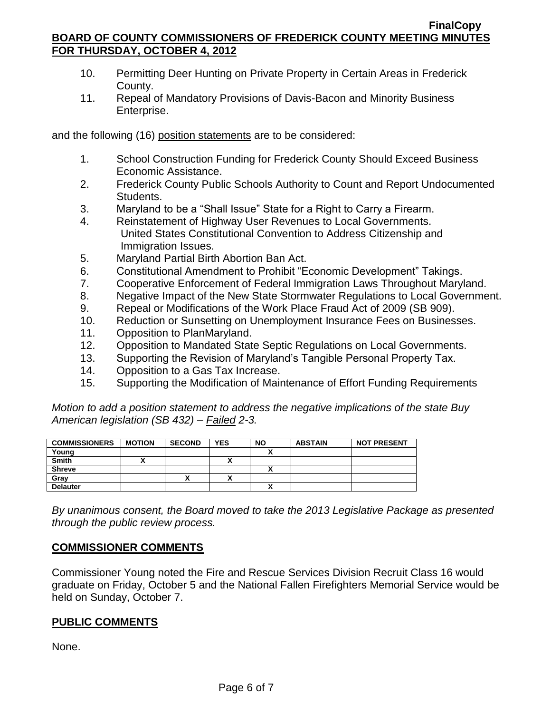- 10. Permitting Deer Hunting on Private Property in Certain Areas in Frederick County.
- 11. Repeal of Mandatory Provisions of Davis-Bacon and Minority Business Enterprise.

and the following (16) position statements are to be considered:

- 1. School Construction Funding for Frederick County Should Exceed Business Economic Assistance.
- 2. Frederick County Public Schools Authority to Count and Report Undocumented Students.
- 3. Maryland to be a "Shall Issue" State for a Right to Carry a Firearm.
- 4. Reinstatement of Highway User Revenues to Local Governments. United States Constitutional Convention to Address Citizenship and Immigration Issues.
- 5. Maryland Partial Birth Abortion Ban Act.
- 6. Constitutional Amendment to Prohibit "Economic Development" Takings.
- 7. Cooperative Enforcement of Federal Immigration Laws Throughout Maryland.
- 8. Negative Impact of the New State Stormwater Regulations to Local Government.
- 9. Repeal or Modifications of the Work Place Fraud Act of 2009 (SB 909).
- 10. Reduction or Sunsetting on Unemployment Insurance Fees on Businesses.
- 11. Opposition to PlanMaryland.
- 12. Opposition to Mandated State Septic Regulations on Local Governments.
- 13. Supporting the Revision of Maryland's Tangible Personal Property Tax.
- 14. Opposition to a Gas Tax Increase.
- 15. Supporting the Modification of Maintenance of Effort Funding Requirements

*Motion to add a position statement to address the negative implications of the state Buy American legislation (SB 432) – Failed 2-3.*

| <b>COMMISSIONERS</b> | <b>MOTION</b> | <b>SECOND</b> | <b>YES</b> | <b>NO</b>    | <b>ABSTAIN</b> | <b>NOT PRESENT</b> |
|----------------------|---------------|---------------|------------|--------------|----------------|--------------------|
| Young                |               |               |            |              |                |                    |
| <b>Smith</b>         |               |               | ,,,        |              |                |                    |
| <b>Shreve</b>        |               |               |            |              |                |                    |
| Gray                 |               |               | ,,,        |              |                |                    |
| <b>Delauter</b>      |               |               |            | $\mathbf{v}$ |                |                    |

*By unanimous consent, the Board moved to take the 2013 Legislative Package as presented through the public review process.*

## **COMMISSIONER COMMENTS**

Commissioner Young noted the Fire and Rescue Services Division Recruit Class 16 would graduate on Friday, October 5 and the National Fallen Firefighters Memorial Service would be held on Sunday, October 7.

## **PUBLIC COMMENTS**

None.